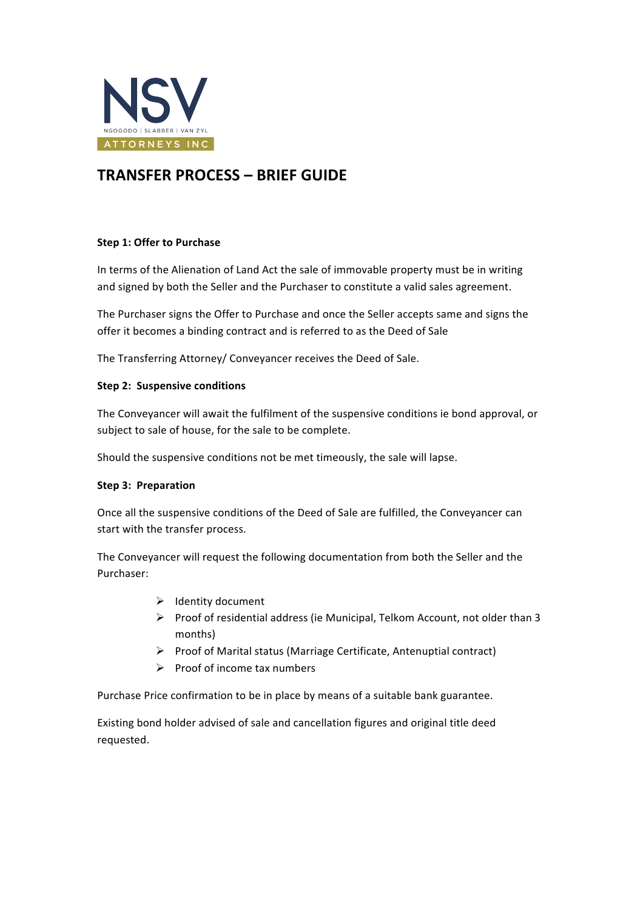

# **TRANSFER PROCESS – BRIEF GUIDE**

# **Step 1: Offer to Purchase**

In terms of the Alienation of Land Act the sale of immovable property must be in writing and signed by both the Seller and the Purchaser to constitute a valid sales agreement.

The Purchaser signs the Offer to Purchase and once the Seller accepts same and signs the offer it becomes a binding contract and is referred to as the Deed of Sale

The Transferring Attorney/ Conveyancer receives the Deed of Sale.

## **Step 2: Suspensive conditions**

The Conveyancer will await the fulfilment of the suspensive conditions ie bond approval, or subject to sale of house, for the sale to be complete.

Should the suspensive conditions not be met timeously, the sale will lapse.

## **Step 3: Preparation**

Once all the suspensive conditions of the Deed of Sale are fulfilled, the Conveyancer can start with the transfer process.

The Conveyancer will request the following documentation from both the Seller and the Purchaser:

- $\triangleright$  Identity document
- $\triangleright$  Proof of residential address (ie Municipal, Telkom Account, not older than 3 months)
- $\triangleright$  Proof of Marital status (Marriage Certificate, Antenuptial contract)
- $\triangleright$  Proof of income tax numbers

Purchase Price confirmation to be in place by means of a suitable bank guarantee.

Existing bond holder advised of sale and cancellation figures and original title deed requested.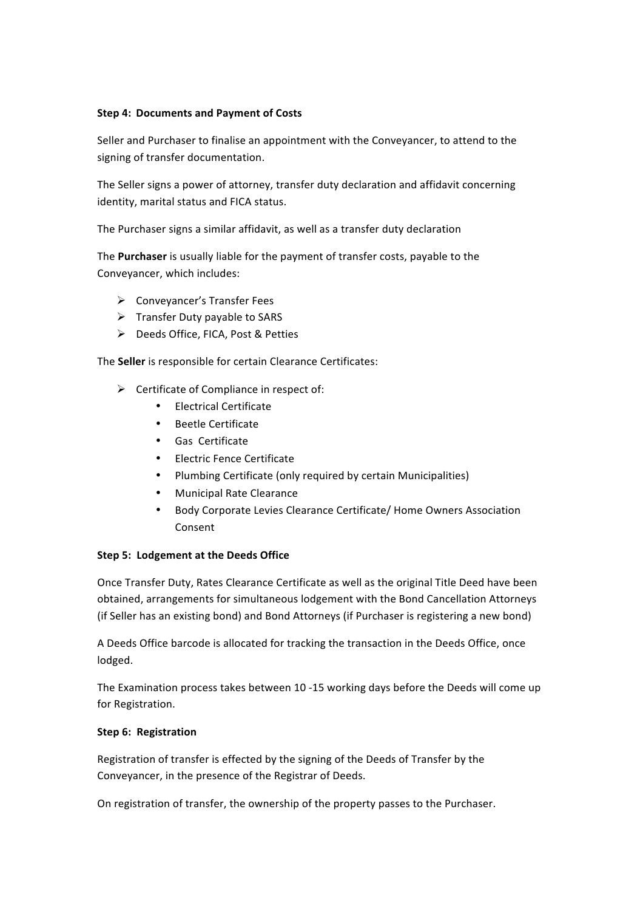#### **Step 4: Documents and Payment of Costs**

Seller and Purchaser to finalise an appointment with the Conveyancer, to attend to the signing of transfer documentation.

The Seller signs a power of attorney, transfer duty declaration and affidavit concerning identity, marital status and FICA status.

The Purchaser signs a similar affidavit, as well as a transfer duty declaration

The **Purchaser** is usually liable for the payment of transfer costs, payable to the Conveyancer, which includes:

- $\triangleright$  Conveyancer's Transfer Fees
- $\triangleright$  Transfer Duty payable to SARS
- **▶** Deeds Office, FICA, Post & Petties

The **Seller** is responsible for certain Clearance Certificates:

- $\triangleright$  Certificate of Compliance in respect of:
	- Electrical Certificate
	- Beetle Certificate
	- Gas Certificate
	- Electric Fence Certificate
	- Plumbing Certificate (only required by certain Municipalities)
	- Municipal Rate Clearance
	- Body Corporate Levies Clearance Certificate/ Home Owners Association Consent

#### **Step 5: Lodgement at the Deeds Office**

Once Transfer Duty, Rates Clearance Certificate as well as the original Title Deed have been obtained, arrangements for simultaneous lodgement with the Bond Cancellation Attorneys (if Seller has an existing bond) and Bond Attorneys (if Purchaser is registering a new bond)

A Deeds Office barcode is allocated for tracking the transaction in the Deeds Office, once lodged.

The Examination process takes between 10 -15 working days before the Deeds will come up for Registration.

#### **Step 6: Registration**

Registration of transfer is effected by the signing of the Deeds of Transfer by the Conveyancer, in the presence of the Registrar of Deeds.

On registration of transfer, the ownership of the property passes to the Purchaser.